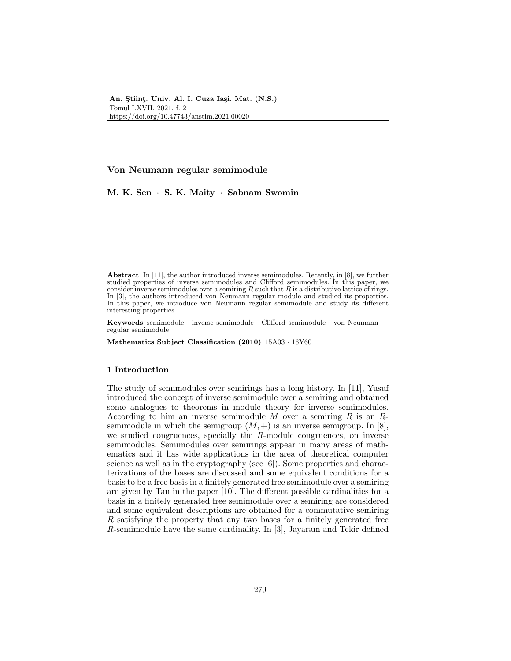# Von Neumann regular semimodule

M. K. Sen · S. K. Maity · Sabnam Swomin

Abstract In [11], the author introduced inverse semimodules. Recently, in [8], we further studied properties of inverse semimodules and Clifford semimodules. In this paper, we consider inverse semimodules over a semiring  $R$  such that  $R$  is a distributive lattice of rings. In [3], the authors introduced von Neumann regular module and studied its properties. In this paper, we introduce von Neumann regular semimodule and study its different interesting properties.

Keywords semimodule · inverse semimodule · Clifford semimodule · von Neumann regular semimodule

Mathematics Subject Classification (2010) 15A03 · 16Y60

## 1 Introduction

The study of semimodules over semirings has a long history. In [11], Yusuf introduced the concept of inverse semimodule over a semiring and obtained some analogues to theorems in module theory for inverse semimodules. According to him an inverse semimodule  $M$  over a semiring  $R$  is an  $R$ semimodule in which the semigroup  $(M, +)$  is an inverse semigroup. In [8], we studied congruences, specially the R-module congruences, on inverse semimodules. Semimodules over semirings appear in many areas of mathematics and it has wide applications in the area of theoretical computer science as well as in the cryptography (see [6]). Some properties and characterizations of the bases are discussed and some equivalent conditions for a basis to be a free basis in a finitely generated free semimodule over a semiring are given by Tan in the paper [10]. The different possible cardinalities for a basis in a finitely generated free semimodule over a semiring are considered and some equivalent descriptions are obtained for a commutative semiring R satisfying the property that any two bases for a finitely generated free R-semimodule have the same cardinality. In [3], Jayaram and Tekir defined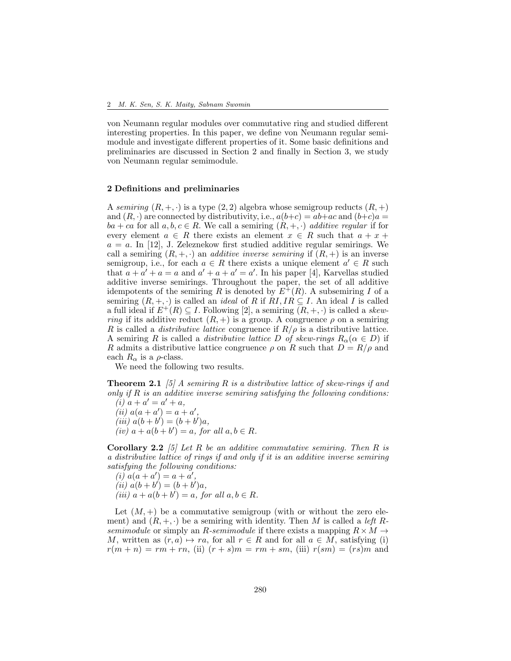von Neumann regular modules over commutative ring and studied different interesting properties. In this paper, we define von Neumann regular semimodule and investigate different properties of it. Some basic definitions and preliminaries are discussed in Section 2 and finally in Section 3, we study von Neumann regular semimodule.

### 2 Definitions and preliminaries

A *semiring*  $(R, +, \cdot)$  is a type  $(2, 2)$  algebra whose semigroup reducts  $(R, +)$ and  $(R, \cdot)$  are connected by distributivity, i.e.,  $a(b+c) = ab + ac$  and  $(b+c)a =$  $ba + ca$  for all  $a, b, c \in R$ . We call a semiring  $(R, +, \cdot)$  *additive regular* if for every element  $a \in R$  there exists an element  $x \in R$  such that  $a + x +$  $a = a$ . In [12], J. Zeleznekow first studied additive regular semirings. We call a semiring  $(R, +, \cdot)$  an *additive inverse semiring* if  $(R, +)$  is an inverse semigroup, i.e., for each  $a \in R$  there exists a unique element  $a' \in R$  such that  $a + a' + a = a$  and  $a' + a + a' = a'$ . In his paper [4], Karvellas studied additive inverse semirings. Throughout the paper, the set of all additive idempotents of the semiring R is denoted by  $E^+(R)$ . A subsemiring I of a semiring  $(R, +, \cdot)$  is called an *ideal* of R if  $RI, IR \subseteq I$ . An ideal I is called a full ideal if  $E^+(R) \subseteq I$ . Following [2], a semiring  $(R, +, \cdot)$  is called a *skewring* if its additive reduct  $(R, +)$  is a group. A congruence  $\rho$  on a semiring R is called a *distributive lattice* congruence if  $R/\rho$  is a distributive lattice. A semiring R is called a *distributive lattice* D of skew-rings  $R_{\alpha}(\alpha \in D)$  if R admits a distributive lattice congruence  $\rho$  on R such that  $D = R/\rho$  and each  $R_{\alpha}$  is a  $\rho$ -class.

We need the following two results.

Theorem 2.1 *[5] A semiring* R *is a distributive lattice of skew-rings if and only if* R *is an additive inverse semiring satisfying the following conditions:*  $(i)$   $a + a' = a' + a$ ,

 $(iii) a(a + a') = a + a'$ ,  $(iii) a(b + b') = (b + b')a,$  $(iv)$   $a + a(b + b') = a$ *, for all*  $a, b \in R$ *.* 

Corollary 2.2 *[5] Let* R *be an additive commutative semiring. Then* R *is a distributive lattice of rings if and only if it is an additive inverse semiring satisfying the following conditions:*

(i) 
$$
a(a + a') = a + a'
$$
,  
\n(ii)  $a(b + b') = (b + b')a$ ,  
\n(iii)  $a + a(b + b') = a$ , for all  $a, b \in R$ .

Let  $(M, +)$  be a commutative semigroup (with or without the zero element) and  $(R, +, \cdot)$  be a semiring with identity. Then M is called a *left* R*semimodule* or simply an R-semimodule if there exists a mapping  $R \times M \rightarrow$ M, written as  $(r, a) \mapsto ra$ , for all  $r \in R$  and for all  $a \in M$ , satisfying (i)  $r(m + n) = rm + rn$ , (ii)  $(r + s)m = rm + sm$ , (iii)  $r(sm) = (rs)m$  and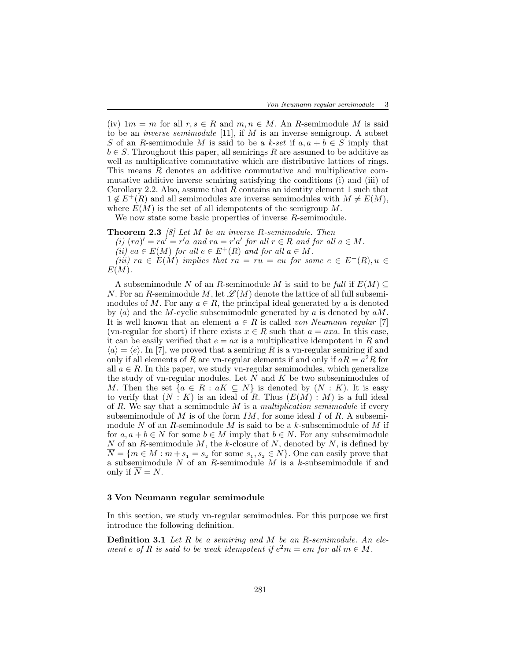(iv)  $1m = m$  for all  $r, s \in R$  and  $m, n \in M$ . An R-semimodule M is said to be an *inverse semimodule* [11], if M is an inverse semigroup. A subset S of an R-semimodule M is said to be a  $k\text{-}set$  if  $a, a + b \in S$  imply that  $b \in S$ . Throughout this paper, all semirings R are assumed to be additive as well as multiplicative commutative which are distributive lattices of rings. This means R denotes an additive commutative and multiplicative commutative additive inverse semiring satisfying the conditions (i) and (iii) of Corollary 2.2. Also, assume that R contains an identity element 1 such that  $1 \notin E^+(R)$  and all semimodules are inverse semimodules with  $M \neq E(M)$ , where  $E(M)$  is the set of all idempotents of the semigroup M.

We now state some basic properties of inverse R-semimodule.

Theorem 2.3 *[8] Let* M *be an inverse* R*-semimodule. Then* (i)  $(ra)' = ra' = r'a$  and  $ra = r'a'$  for all  $r \in R$  and for all  $a \in M$ . *(ii)* ea  $\in E(M)$  *for all*  $e \in E^+(R)$  *and for all*  $a \in M$ *. (iii)*  $ra \in E(M)$  *implies that*  $ra = ru = eu$  *for some*  $e \in E^+(R), u \in$  $E(M)$ .

A subsemimodule N of an R-semimodule M is said to be *full* if  $E(M) \subseteq$ N. For an R-semimodule M, let  $\mathscr{L}(M)$  denote the lattice of all full subsemimodules of M. For any  $a \in R$ , the principal ideal generated by a is denoted by  $\langle a \rangle$  and the M-cyclic subsemimodule generated by a is denoted by  $aM$ . It is well known that an element  $a \in R$  is called *von Neumann regular* [7] (vn-regular for short) if there exists  $x \in R$  such that  $a = axa$ . In this case, it can be easily verified that  $e = ax$  is a multiplicative idempotent in R and  $\langle a \rangle = \langle e \rangle$ . In [7], we proved that a semiring R is a vn-regular semiring if and only if all elements of R are vn-regular elements if and only if  $aR = a^2R$  for all  $a \in R$ . In this paper, we study vn-regular semimodules, which generalize the study of vn-regular modules. Let  $N$  and  $K$  be two subsemimodules of M. Then the set  $\{a \in R : aK \subseteq N\}$  is denoted by  $(N : K)$ . It is easy to verify that  $(N : K)$  is an ideal of R. Thus  $(E(M) : M)$  is a full ideal of R. We say that a semimodule M is a *multiplication semimodule* if every subsemimodule of M is of the form  $IM$ , for some ideal I of R. A subsemimodule N of an R-semimodule M is said to be a k-subsemimodule of M if for  $a, a + b \in N$  for some  $b \in M$  imply that  $b \in N$ . For any subsemimodule N of an R-semimodule M, the k-closure of N, denoted by  $N$ , is defined by  $N = \{m \in M : m + s_1 = s_2 \text{ for some } s_1, s_2 \in N\}.$  One can easily prove that a subsemimodule N of an R-semimodule M is a k-subsemimodule if and only if  $\overline{N} = N$ .

# 3 Von Neumann regular semimodule

In this section, we study vn-regular semimodules. For this purpose we first introduce the following definition.

Definition 3.1 *Let* R *be a semiring and* M *be an* R*-semimodule. An element e* of R is said to be weak idempotent if  $e^2m = em$  for all  $m \in M$ .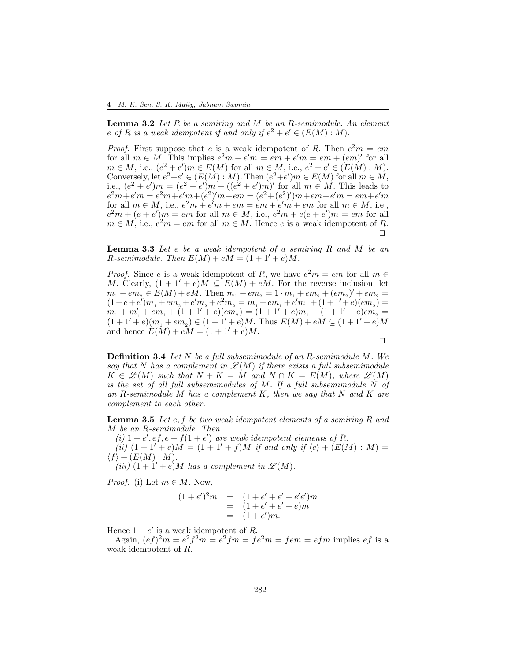Lemma 3.2 *Let* R *be a semiring and* M *be an* R*-semimodule. An element e* of R is a weak idempotent if and only if  $e^2 + e' \in (E(M):M)$ .

*Proof.* First suppose that e is a weak idempotent of R. Then  $e^2m = em$ for all  $m \in M$ . This implies  $e^2m + e'm = em + e'm = em + (em)'$  for all  $m \in M$ , i.e.,  $(e^2 + e')m \in E(M)$  for all  $m \in M$ , i.e.,  $e^2 + e' \in (E(M) : M)$ . Conversely, let  $e^2 + e' \in (E(M) : M)$ . Then  $(e^2 + e')m \in E(M)$  for all  $m \in M$ , i.e.,  $(e^2 + e')m = (e^2 + e')m + ((e^2 + e')m)'$  for all  $m \in M$ . This leads to  $e^2m + e^{\prime}m = e^2m + e^{\prime}m + (e^2)^{\prime}m + em = (e^2 + (e^2)^{\prime})m + em + e^{\prime}m = em + e^{\prime}m$ for all  $m \in M$ , i.e.,  $e^2m + e^{\prime}m + em = em + e^{\prime}m + em$  for all  $m \in M$ , i.e.,  $e<sup>2</sup>m + (e + e')m = em$  for all  $m \in M$ , i.e.,  $e<sup>2</sup>m + e(e + e')m = em$  for all  $m \in M$ , i.e.,  $e^2m = em$  for all  $m \in M$ . Hence e is a weak idempotent of R. ⊓⊔

Lemma 3.3 *Let* e *be a weak idempotent of a semiring* R *and* M *be an R*-semimodule. Then  $E(M) + eM = (1 + 1' + e)M$ .

*Proof.* Since e is a weak idempotent of R, we have  $e^2m = em$  for all  $m \in$ M. Clearly,  $(1 + 1' + e)M \subseteq E(M) + eM$ . For the reverse inclusion, let  $m_1 + em_2 \in E(M) + e\dot{M}$ . Then  $m_1 + em_2 = 1 \cdot m_1 + em_2 + (em_2)' + em_2 =$  $(1 + e + e^{t})m_1 + em_2 + e^{t}m_2 + e^{2}m_2 = m_1 + em_1 + e^{t}m_1 + (1 + 1^{t} + e)(em_2) =$  $(m_1 + m_1' + em_1 + (1 + 1' + e)(em_2) = (1 + 1' + e)m_1 + (1 + 1' + e)em_2' =$  $(1+1'+e)(m_1+em_2) \in (1+1'+e)M$ . Thus  $E(M)+eM \subseteq (1+1'+e)M$ and hence  $E(M) + eM = (1 + 1' + e)M$ .

⊓⊔

Definition 3.4 *Let* N *be a full subsemimodule of an* R*-semimodule* M*. We* say that N has a complement in  $\mathcal{L}(M)$  if there exists a full subsemimodule  $K \in \mathcal{L}(M)$  *such that*  $N + K = M$  *and*  $N \cap K = E(M)$ *, where*  $\mathcal{L}(M)$ *is the set of all full subsemimodules of* M*. If a full subsemimodule* N *of an* R*-semimodule* M *has a complement* K*, then we say that* N *and* K *are complement to each other.*

Lemma 3.5 *Let* e, f *be two weak idempotent elements of a semiring* R *and* M *be an* R*-semimodule. Then*

(*i*)  $1 + e'$ ,  $ef$ ,  $e + f(1 + e')$  are weak idempotent elements of R. *(ii)*  $(1 + 1' + e)M = (1 + 1' + f)M$  *if and only if*  $\langle e \rangle + (E(M) : M)$  $\langle f \rangle + (E(M) : M).$ 

*(iii)*  $(1+1'+e)M$  *has a complement in*  $\mathscr{L}(M)$ *.* 

*Proof.* (i) Let  $m \in M$ . Now,

$$
(1 + e')2m = (1 + e' + e' + e'e')m
$$
  
= (1 + e' + e' + e)m  
= (1 + e')m.

Hence  $1 + e'$  is a weak idempotent of R.

Again,  $(ef)^2m = e^2f^2m = e^2fm = fe^2m = fem = efm$  implies  $ef$  is a weak idempotent of R.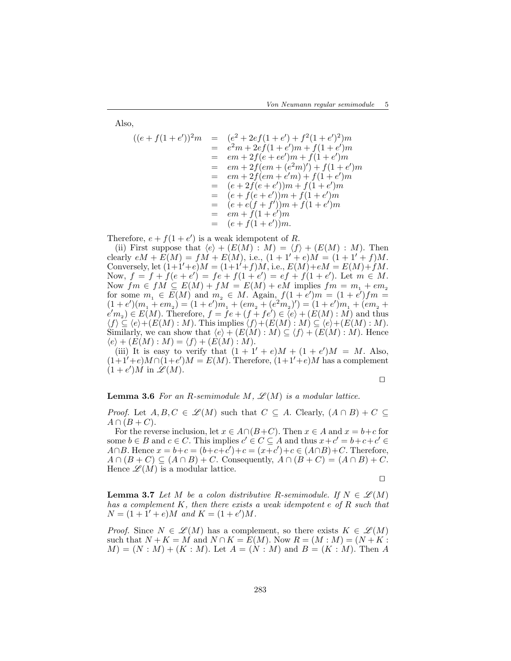Also,

$$
((e+f(1+e'))^2m = (e^2+2ef(1+e')+f^2(1+e')^2)m
$$
  
\n
$$
= e^2m+2ef(1+e')m+f(1+e')m
$$
  
\n
$$
= em+2f(e+ee')m+f(1+e')m
$$
  
\n
$$
= em+2f(em+(e^2m)')+f(1+e')m
$$
  
\n
$$
= em+2f(em+e'm')+f(1+e')m
$$
  
\n
$$
= (e+2f(e+e'))m+f(1+e')m
$$
  
\n
$$
= (e+f(e+e'))m+f(1+e')m
$$
  
\n
$$
= (e+e(f+f'))m+f(1+e')m
$$
  
\n
$$
= em+f(1+e')m
$$
  
\n
$$
= (e+f(1+e'))m.
$$

Therefore,  $e + f(1 + e')$  is a weak idempotent of R.

(ii) First suppose that  $\langle e \rangle + (E(M) : M) = \langle f \rangle + (E(M) : M)$ . Then clearly  $eM + E(M) = fM + E(M)$ , i.e.,  $(1 + 1' + e)M = (1 + 1' + f)M$ . Conversely, let  $(1+1'+e)M = (1+1'+f)M$ , i.e.,  $E(M)+eM = E(M)+fM$ . Now,  $f = f + f(e + e') = fe + f(1 + e') = ef + f(1 + e')$ . Let  $m \in M$ . Now  $fm \in fM \subseteq E(M) + fM = E(M) + eM$  implies  $fm = m_1 + e m_2$ for some  $m_1 \in E(M)$  and  $m_2 \in M$ . Again,  $f(1 + e')m = (1 + e')fm =$  $(1+e')(m_1+em_2)=(1+e')m_1+(em_2+(e^2m_2)')=(1+e')m_1+(em_2+$  $(e'm_2) \in E(M)$ . Therefore,  $f = fe + (f + fe') \in \langle e \rangle + (E(M) : M)$  and thus  $\langle f \rangle \subseteq \langle e \rangle + (E(M) : M)$ . This implies  $\langle f \rangle + (E(M) : M) \subseteq \langle e \rangle + (E(M) : M)$ . Similarly, we can show that  $\langle e \rangle + (E(M) : M) \subseteq \langle f \rangle + (E(M) : M)$ . Hence  $\langle e \rangle + (E(M) : M) = \langle f \rangle + (E(M) : M).$ 

(iii) It is easy to verify that  $(1 + 1' + e)M + (1 + e')M = M$ . Also,  $(1+1'+e)M \cap (1+e')M = E(M)$ . Therefore,  $(1+1'+e)M$  has a complement  $(1+e')\hat{M}$  in  $\hat{\mathscr{L}}(M)$ .

⊓⊔

### **Lemma 3.6** For an R-semimodule M,  $\mathscr{L}(M)$  is a modular lattice.

*Proof.* Let  $A, B, C \in \mathcal{L}(M)$  such that  $C \subseteq A$ . Clearly,  $(A \cap B) + C \subseteq A$  $A \cap (B+C).$ 

For the reverse inclusion, let  $x \in A \cap (B+C)$ . Then  $x \in A$  and  $x = b+c$  for some  $b \in B$  and  $c \in C$ . This implies  $c' \in C \subseteq A$  and thus  $x + c' = b + c + c' \in A$ A∩B. Hence  $x = b+c = (b+c+c') + c = (x+c') + c \in (A\cap B) + C$ . Therefore,  $A \cap (B + C) \subseteq (A \cap B) + C$ . Consequently,  $A \cap (B + C) = (A \cap B) + C$ . Hence  $\mathscr{L}(M)$  is a modular lattice.

⊓⊔

**Lemma 3.7** Let M be a colon distributive R-semimodule. If  $N \in \mathcal{L}(M)$ *has a complement* K*, then there exists a weak idempotent* e *of* R *such that*  $N = (1 + 1' + e)M$  and  $K = (1 + e')M$ .

*Proof.* Since  $N \in \mathcal{L}(M)$  has a complement, so there exists  $K \in \mathcal{L}(M)$ such that  $N + K = M$  and  $N \cap K = E(M)$ . Now  $R = (M : M) = (N + K :$  $M = (N : M) + (K : M)$ . Let  $A = (N : M)$  and  $B = (K : M)$ . Then A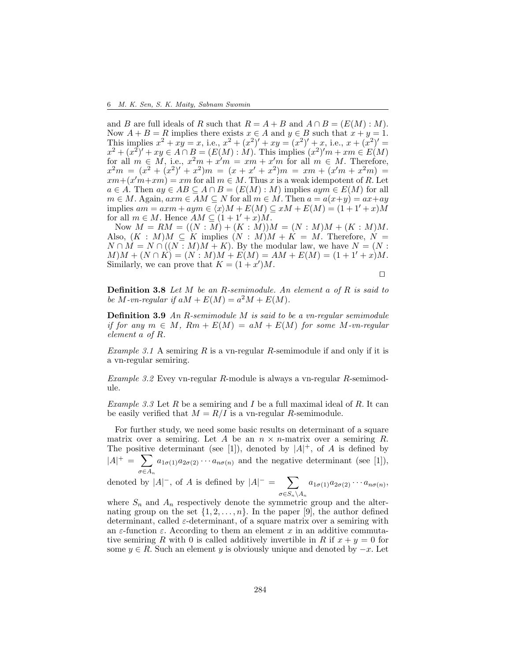and B are full ideals of R such that  $R = A + B$  and  $A \cap B = (E(M) : M)$ . Now  $A + B = R$  implies there exists  $x \in A$  and  $y \in B$  such that  $x + y = 1$ . This implies  $x^2 + xy = x$ , i.e.,  $x^2 + (x^2)' + xy = (x^2)' + x$ , i.e.,  $x + (x^2)' =$  $x^2 + (x^2)' + xy \in A \cap B = (E(M) : M)$ . This implies  $(x^2)'m + xm \in E(M)$ for all  $m \in M$ , i.e.,  $x^2m + x'm = xm + x'm$  for all  $m \in M$ . Therefore,  $x^2m = (x^2 + (x^2)' + x^2)m = (x + x' + x^2)m = xm + (x'm + x^2m) =$  $xm + (x'm + xm) = xm$  for all  $m \in M$ . Thus x is a weak idempotent of R. Let  $a \in A$ . Then  $ay \in AB \subseteq A \cap B = (E(M): M)$  implies  $aym \in E(M)$  for all  $m \in M$ . Again,  $a x m \in AM \subseteq N$  for all  $m \in M$ . Then  $a = a(x+y) = ax+ay$ implies  $am = axm + aym \in \langle x \rangle M + E(M) \subseteq xM + E(M) = (1 + 1' + x)M$ for all  $m \in M$ . Hence  $AM \subseteq (1 + 1' + x)M$ .

Now  $M = RM = ((N : M) + (K : M))M = (N : M)M + (K : M)M$ . Also,  $(K : M)M \subseteq K$  implies  $(N : M)M + K = M$ . Therefore,  $N =$  $N \cap M = N \cap ((N : M)M + K)$ . By the modular law, we have  $N = (N : M)$  $M(M + (N \cap K) = (N : M)M + E(M) = AM + E(M) = (1 + 1' + x)M.$ Similarly, we can prove that  $K = (1 + x')M$ .

⊓⊔

Definition 3.8 *Let* M *be an* R*-semimodule. An element* a *of* R *is said to be*  $M$ -vn-regular if  $aM + E(M) = a^2M + E(M)$ .

Definition 3.9 *An* R*-semimodule* M *is said to be a vn-regular semimodule if for any*  $m \in M$ ,  $Rm + E(M) = aM + E(M)$  *for some M-vn-regular element* a *of* R*.*

*Example 3.1* A semiring R is a vn-regular R-semimodule if and only if it is a vn-regular semiring.

*Example 3.2* Evey vn-regular R-module is always a vn-regular R-semimodule.

*Example 3.3* Let R be a semiring and I be a full maximal ideal of R. It can be easily verified that  $M = R/I$  is a vn-regular R-semimodule.

For further study, we need some basic results on determinant of a square matrix over a semiring. Let A be an  $n \times n$ -matrix over a semiring R. The positive determinant (see [1]), denoted by  $|A|^+$ , of A is defined by  $|A|^+ = \sum$  $\sigma \in A_n$  $a_{1\sigma(1)}a_{2\sigma(2)}\cdots a_{n\sigma(n)}$  and the negative determinant (see [1]),

denoted by  $|A|^-$ , of A is defined by  $|A|^- = \sum$  $\sigma{\in}S_n{\setminus}A_n$  $a_{1\sigma(1)}a_{2\sigma(2)}\cdots a_{n\sigma(n)},$ 

where  $S_n$  and  $A_n$  respectively denote the symmetric group and the alternating group on the set  $\{1, 2, \ldots, n\}$ . In the paper [9], the author defined determinant, called  $\varepsilon$ -determinant, of a square matrix over a semiring with an  $\varepsilon$ -function  $\varepsilon$ . According to them an element x in an additive commutative semiring R with 0 is called additively invertible in R if  $x + y = 0$  for some  $y \in R$ . Such an element y is obviously unique and denoted by  $-x$ . Let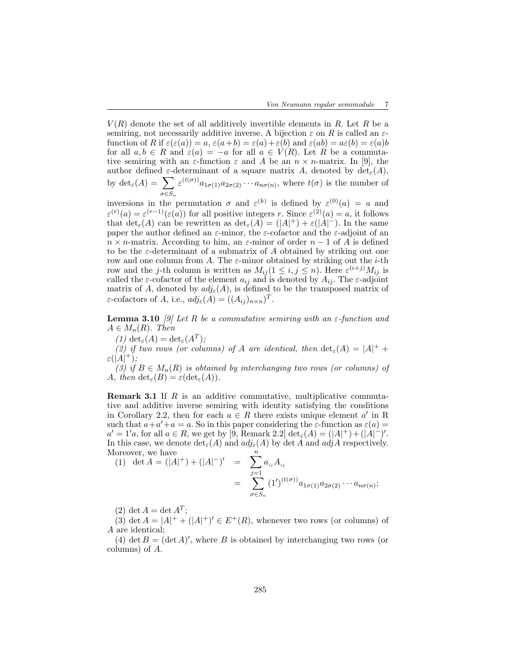$V(R)$  denote the set of all additively invertible elements in R. Let R be a semiring, not necessarily additive inverse. A bijection  $\varepsilon$  on R is called an  $\varepsilon$ function of R if  $\varepsilon(\varepsilon(a)) = a$ ,  $\varepsilon(a+b) = \varepsilon(a) + \varepsilon(b)$  and  $\varepsilon(ab) = a\varepsilon(b) = \varepsilon(a)b$ for all  $a, b \in R$  and  $\varepsilon(a) = -a$  for all  $a \in V(R)$ . Let R be a commutative semiring with an  $\varepsilon$ -function  $\varepsilon$  and A be an  $n \times n$ -matrix. In [9], the author defined  $\varepsilon$ -determinant of a square matrix A, denoted by  $\det_{\varepsilon}(A)$ , by  $\det_{\varepsilon}(A) = \sum$  $\sigma \in S_n$  $\varepsilon^{(t(\sigma))} a_{1\sigma(1)} a_{2\sigma(2)} \cdots a_{n\sigma(n)}$ , where  $t(\sigma)$  is the number of

inversions in the permutation  $\sigma$  and  $\varepsilon^{(k)}$  is defined by  $\varepsilon^{(0)}(a) = a$  and  $\varepsilon^{(r)}(a) = \varepsilon^{(r-1)}(\varepsilon(a))$  for all positive integers r. Since  $\varepsilon^{(2)}(a) = a$ , it follows that  $\det_{\varepsilon}(A)$  can be rewritten as  $\det_{\varepsilon}(A) = (|A|^+) + \varepsilon(|A|^-)$ . In the same paper the author defined an  $\varepsilon$ -minor, the  $\varepsilon$ -cofactor and the  $\varepsilon$ -adjoint of an  $n \times n$ -matrix. According to him, an  $\varepsilon$ -minor of order  $n-1$  of A is defined to be the  $\varepsilon$ -determinant of a submatrix of A obtained by striking out one row and one column from A. The  $\varepsilon$ -minor obtained by striking out the *i*-th row and the *j*-th column is written as  $M_{ij} (1 \leq i, j \leq n)$ . Here  $\varepsilon^{(i+j)} M_{ij}$  is called the  $\varepsilon$ -cofactor of the element  $a_{ij}$  and is denoted by  $A_{ij}$ . The  $\varepsilon$ -adjoint matrix of A, denoted by  $adj_{\varepsilon}(A)$ , is defined to be the transposed matrix of  $\varepsilon$ -cofactors of A, i.e.,  $adj_{\varepsilon}(A) = ((A_{ij})_{n \times n})^T$ .

**Lemma 3.10** *[9] Let* R *be a commutative semiring with an*  $\varepsilon$ -function and  $A \in M_n(R)$ . Then

 $(1) \det_{\varepsilon}(A) = \det_{\varepsilon}(A^T);$ 

(2) if two rows (or columns) of A are identical, then  $\det_{\varepsilon}(A) = |A|^{+} +$  $\varepsilon(|A|^{+}),$ 

*(3)* if  $B \in M_n(R)$  *is obtained by interchanging two rows (or columns) of* A, then  $\det_{\varepsilon}(B) = \varepsilon(\det_{\varepsilon}(A)).$ 

**Remark 3.1** If  $R$  is an additive commutative, multiplicative commutative and additive inverse semiring with identity satisfying the conditions in Corollary 2.2, then for each  $a \in R$  there exists unique element a' in R such that  $a + a' + a = a$ . So in this paper considering the  $\varepsilon$ -function as  $\varepsilon(a) = a$  $a' = 1'a$ , for all  $a \in R$ , we get by [9, Remark 2.2]  $\det_{\varepsilon}(A) = (|A|^+) + (|\dot{A}|^-)'$ . In this case, we denote  $\det_{\varepsilon}(A)$  and  $adj_{\varepsilon}(A)$  by  $\det A$  and  $adj A$  respectively. Moreover, we have

(1) det 
$$
A = (|A|^+)+(|A|^-)'
$$
 =  $\sum_{j=1}^n a_{ij} A_{ij}$   
=  $\sum_{\sigma \in S_n} (1')^{(t(\sigma))} a_{1\sigma(1)} a_{2\sigma(2)} \cdots a_{n\sigma(n)};$ 

(2) det  $A = \det A^T$ ;

(3) det  $A = |A|^{+} + (|A|^{+})' \in E^{+}(R)$ , whenever two rows (or columns) of A are identical;

(4) det  $B = (\det A)'$ , where B is obtained by interchanging two rows (or columns) of A.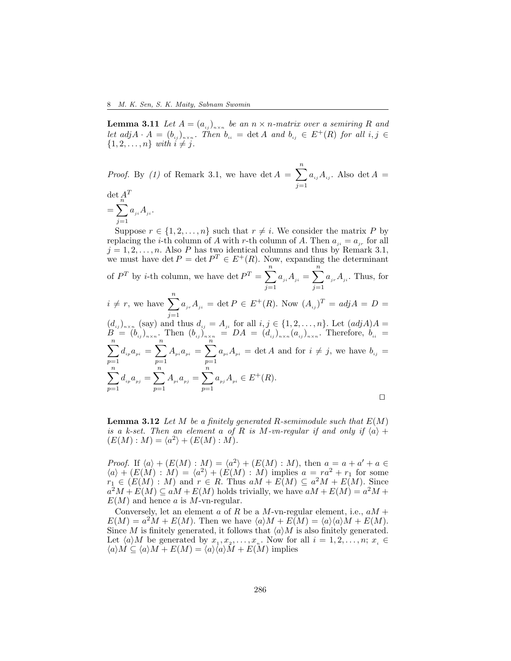**Lemma 3.11** Let  $A = (a_{ij})_{n \times n}$  be an  $n \times n$ -matrix over a semiring R and *let*  $adj A \cdot A = (b_{ij})_{n \times n}$ . Then  $b_{ii} = det A$  and  $b_{ij} \in E^+(R)$  for all  $i, j \in R$  $\{1, 2, \ldots, n\}$  *with*  $i \neq j$ .

*Proof.* By (1) of Remark 3.1, we have det  $A = \sum_{n=1}^{\infty}$  $j=1$  $a_{ij}A_{ij}$ . Also det  $A =$ 

 $\det A^T$  $\sum_{n=1}^{\infty}$  $j=1$  $a_{ji}A_{ji}$ .

Suppose  $r \in \{1, 2, ..., n\}$  such that  $r \neq i$ . We consider the matrix P by replacing the *i*-th column of A with r-th column of A. Then  $a_{ii} = a_{ir}$  for all  $j = 1, 2, \ldots, n$ . Also P has two identical columns and thus by Remark 3.1, we must have det  $P = \det P^T \in E^+(R)$ . Now, expanding the determinant of  $P^T$  by *i*-th column, we have det  $P^T = \sum_{n=1}^{n}$  $j=1$  $a_{_{ji}}A_{_{ji}}=\sum^{n}$  $j=1$  $a_{ir}A_{ji}$ . Thus, for  $i \neq r$ , we have  $\sum_{n=1}^n$  $j=1$  $a_{i,r}A_{i} = \det P \in E^{+}(R)$ . Now  $(A_{i,j})^{T} = adj A = D =$  $(d_{ij})_{n\times n}$  (say) and thus  $d_{ij} = A_{ji}$  for all  $i, j \in \{1, 2, \ldots, n\}$ . Let  $(adjA)A =$  $B = (b_{ij})_{n \times n}$ . Then  $(b_{ij})_{n \times n} = DA = (d_{ij})_{n \times n} (a_{ij})_{n \times n}$ . Therefore,  $b_{ii} =$  $\sum_{n=1}^{\infty}$  $p=1$  $d_{_{ip}}a_{_{pi}}=\sum^{n}% \frac{1}{2}\left\vert \vec{a}_{j}\right\vert ^{2}a_{_{p}}^{^{2}}=\sum^{n}\left\vert \vec{a}_{j}\right\vert ^{2}a_{_{p}}^{^{2}}=\sum^{n}\left\vert \vec{a}_{j}\right\vert ^{2}$  $p=1$  $A_{pi} a_{pi} = \sum_{i=1}^{n} A_{pi} a_{pi}$  $p=1$  $a_{pi}A_{pi} = \det A$  and for  $i \neq j$ , we have  $b_{ij} =$  $\sum_{n=1}^{\infty}$  $p=1$  $d_{ip}a_{pj} = \sum_{i=1}^{n}$  $p=1$  $A_{p i} a_{p j} = \sum_{i=1}^{n} A_{p j} a_{p j}$  $p=1$  $a_{p_i}A_{p_i} \in E^+(R)$ . ⊓⊔

Lemma 3.12 *Let* M *be a finitely generated* R*-semimodule such that* E(M) *is a k-set. Then an element a of* R *is* M-vn-regular if and only if  $\langle a \rangle$  +  $(E(M): M) = \langle a^2 \rangle + (E(M): M).$ 

*Proof.* If  $\langle a \rangle + (E(M) : M) = \langle a^2 \rangle + (E(M) : M)$ , then  $a = a + a' + a \in$  $\langle a \rangle + (E(M) : M) = \langle a^2 \rangle + (E(M) : M)$  implies  $a = ra^2 + r_1$  for some  $r_1 \in (E(M) : M)$  and  $r \in R$ . Thus  $aM + E(M) \subseteq a^2M + E(M)$ . Since  $a^2M + E(M) \subseteq aM + E(M)$  holds trivially, we have  $aM + E(M) = a^2M +$  $E(M)$  and hence a is M-vn-regular.

Conversely, let an element a of R be a M-vn-regular element, i.e.,  $aM +$  $E(M) = a^2M + E(M)$ . Then we have  $\langle a \rangle M + E(M) = \langle a \rangle \langle a \rangle M + E(M)$ . Since M is finitely generated, it follows that  $\langle a \rangle M$  is also finitely generated. Let  $\langle a \rangle M$  be generated by  $x_1, x_2, \ldots, x_n$ . Now for all  $i = 1, 2, \ldots, n; x_i \in$  $\langle a \rangle M \subseteq \langle a \rangle M + E(M) = \langle a \rangle \langle a \rangle M + E(M)$  implies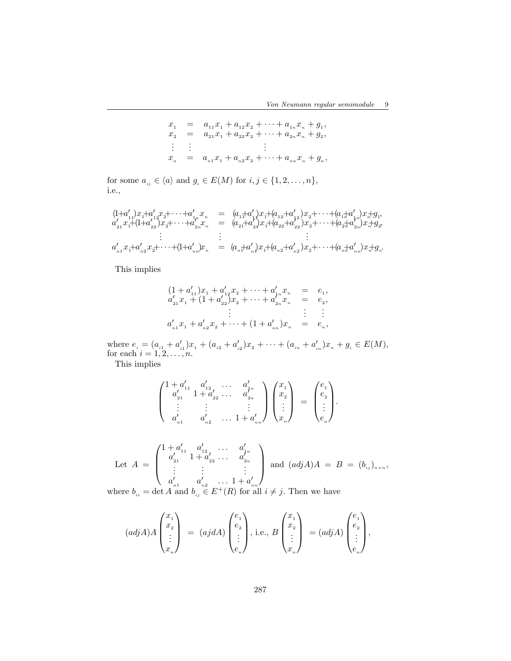$$
x_1 = a_{11}x_1 + a_{12}x_2 + \cdots + a_{1n}x_n + g_1,
$$
  
\n
$$
x_2 = a_{21}x_1 + a_{22}x_2 + \cdots + a_{2n}x_n + g_2,
$$
  
\n
$$
\vdots \qquad \vdots
$$
  
\n
$$
x_n = a_{n1}x_1 + a_{n2}x_2 + \cdots + a_{nn}x_n + g_n,
$$

for some  $a_{\scriptscriptstyle ij} \in \langle a \rangle$  and  $g_{\scriptscriptstyle i} \in E(M)$  for  $i,j \in \{1,2,\ldots,n\},$ i.e.,

$$
(1+a'_{11})x_1+a'_{12}x_2+\cdots+a'_{1n}x_n = (a_{11}+a'_{11})x_1+(a_{12}+a'_{12})x_2+\cdots+(a_{1n}+a'_{1n})x_n+g_1,a'_{21}x_1+(1+a'_{22})x_2+\cdots+a'_{2n}x_n = (a_{21}+a'_{21})x_1+(a_{22}+a'_{22})x_2+\cdots+(a_{2n}+a'_{2n})x_n+g_2,\vdots \qquad \vdots \qquad \vdots
$$
  
\n
$$
a'_{n1}x_1+a'_{n2}x_2+\cdots+(1+a'_{nn})x_n = (a_{n1}+a'_{n1})x_1+(a_{n2}+a'_{n2})x_2+\cdots+(a_{n1}+a'_{nn})x_n+g_n.
$$

This implies

$$
(1 + a'_{11})x_1 + a'_{12}x_2 + \cdots + a'_{1n}x_n = e_1,
$$
  
\n
$$
a'_{21}x_1 + (1 + a'_{22})x_2 + \cdots + a'_{2n}x_n = e_2,
$$
  
\n
$$
\vdots \qquad \vdots
$$
  
\n
$$
a'_{n1}x_1 + a'_{n2}x_2 + \cdots + (1 + a'_{nn})x_n = e_n,
$$

where  $e_i = (a_{i1} + a'_{i1})x_1 + (a_{i2} + a'_{i2})x_2 + \cdots + (a_{in} + a'_{in})x_n + g_i \in E(M)$ , for each  $i = 1, 2, \ldots, n$ .

This implies

$$
\begin{pmatrix} 1 + a'_{11} & a'_{12} & \cdots & a'_{1n} \\ a'_{21} & 1 + a'_{22} & \cdots & a'_{2n} \\ \vdots & \vdots & & \vdots \\ a'_{n1} & a'_{n2} & \cdots & 1 + a'_{nn} \end{pmatrix} \begin{pmatrix} x_1 \\ x_2 \\ \vdots \\ x_n \end{pmatrix} \ = \ \begin{pmatrix} e_1 \\ e_2 \\ \vdots \\ e_n \end{pmatrix}.
$$

Let 
$$
A = \begin{pmatrix} 1 + a'_{11} & a'_{12} & \dots & a'_{1n} \\ a'_{21} & 1 + a'_{22} & \dots & a'_{2n} \\ \vdots & \vdots & & \vdots \\ a'_{n1} & a'_{n2} & \dots & 1 + a'_{nn} \end{pmatrix}
$$
 and  $(adj A)A = B = (b_{ij})_{n \times n}$ ,

where  $b_{ii} = \det A$  and  $b_{ij} \in E^+(R)$  for all  $i \neq j$ . Then we have

$$
(adj A) A \begin{pmatrix} x_1 \\ x_2 \\ \vdots \\ x_n \end{pmatrix} = (aj dA) \begin{pmatrix} e_1 \\ e_2 \\ \vdots \\ e_n \end{pmatrix}, \text{ i.e., } B \begin{pmatrix} x_1 \\ x_2 \\ \vdots \\ x_n \end{pmatrix} = (adj A) \begin{pmatrix} e_1 \\ e_2 \\ \vdots \\ e_n \end{pmatrix},
$$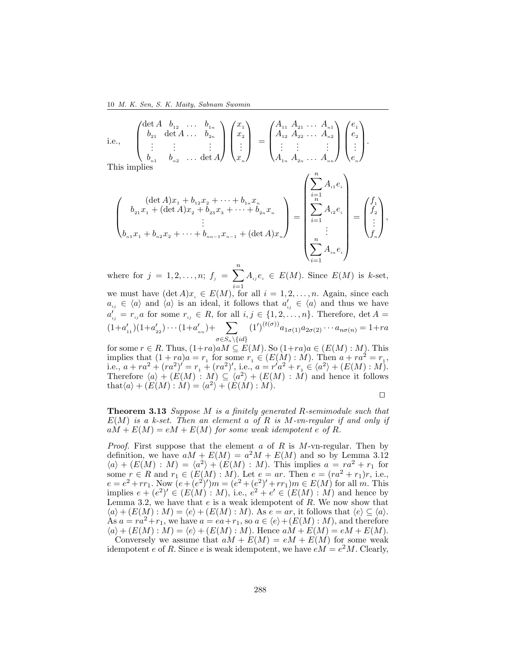10 M. K. Sen, S. K. Maity, Sabnam Swomin

i.e., 
$$
\begin{pmatrix} \det A & b_{12} & \cdots & b_{1n} \\ b_{21} & \det A & \cdots & b_{2n} \\ \vdots & \vdots & & \vdots \\ b_{n1} & b_{n2} & \cdots & \det A \end{pmatrix} \begin{pmatrix} x_1 \\ x_2 \\ \vdots \\ x_n \end{pmatrix} = \begin{pmatrix} A_{11} & A_{21} & \cdots & A_{n1} \\ A_{12} & A_{22} & \cdots & A_{n2} \\ \vdots & \vdots & & \vdots \\ A_{1n} & A_{2n} & \cdots & A_{nn} \end{pmatrix} \begin{pmatrix} e_1 \\ e_2 \\ \vdots \\ e_n \end{pmatrix}.
$$

$$
\begin{pmatrix}\n(\det A)x_1 + b_{12}x_2 + \dots + b_{1n}x_n \\
b_{21}x_1 + (\det A)x_2 + b_{23}x_3 + \dots + b_{2n}x_n \\
\vdots \\
b_{n1}x_1 + b_{n2}x_2 + \dots + b_{nn-1}x_{n-1} + (\det A)x_n\n\end{pmatrix} = \begin{pmatrix}\n\sum_{i=1}^{n} A_{i1}e_i \\
\sum_{i=1}^{n} A_{i2}e_i \\
\vdots \\
\sum_{i=1}^{n} A_{ine_i}\n\end{pmatrix} = \begin{pmatrix}\nf_1 \\
f_2 \\
\vdots \\
f_n\n\end{pmatrix},
$$

where for  $j = 1, 2, ..., n$ ;  $f_j = \sum_{i=1}^{n} A_{ij} e_i \in E(M)$ . Since  $E(M)$  is k-set,

we must have  $(\det A)x_i \in E(M)$ , for all  $i = 1, 2, ..., n$ . Again, since each  $a_{ij} \in \langle a \rangle$  and  $\langle a \rangle$  is an ideal, it follows that  $a'_{ij} \in \langle a \rangle$  and thus we have  $a'_{ij} = r_{ij}a$  for some  $r_{ij} \in R$ , for all  $i, j \in \{1, 2, \ldots, n\}$ . Therefore, det  $A =$  $(1+a'_{11})(1+a'_{22})\cdots(1+a'_{nn})+ \sum$  $\sigma{\in}S_n\backslash\{id\}$  $(1')^{(t(\sigma))} a_{1\sigma(1)} a_{2\sigma(2)} \cdots a_{n\sigma(n)} = 1 + ra$ 

for some  $r \in R$ . Thus,  $(1+ra)aM \subseteq E(M)$ . So  $(1+ra)a \in (E(M):M)$ . This implies that  $(1 + ra)a = r_1$  for some  $r_1 \in (E(M) : M)$ . Then  $a + ra^2 = r_1$ , i.e.,  $a + ra^2 + (ra^2)' = r_1 + (ra^2)'$ , i.e.,  $a = r'a^2 + r_1 \in \langle a^2 \rangle + (E(M) : M)$ . Therefore  $\langle a \rangle + (E(M) : M) \subseteq \langle a^2 \rangle + (E(M) : M)$  and hence it follows that  $\langle a \rangle + (E(M) : M) = \langle a^2 \rangle + (E(M) : M).$ 

$$
\qquad \qquad \Box
$$

 $\lambda$ 

Theorem 3.13 *Suppose* M *is a finitely generated* R*-semimodule such that* E(M) *is a k-set. Then an element* a *of* R *is* M*-vn-regular if and only if*  $aM + E(M) = eM + E(M)$  *for some weak idempotent e of R.* 

*Proof.* First suppose that the element  $\alpha$  of  $R$  is M-vn-regular. Then by definition, we have  $aM + E(M) = a^2M + E(M)$  and so by Lemma 3.12  $\langle a \rangle + (E(M) : M) = \langle a^2 \rangle + (E(M) : M)$ . This implies  $a = ra^2 + r_1$  for some  $r \in R$  and  $r_1 \in (E(M):M)$ . Let  $e = ar$ . Then  $e = (ra^2 + r_1)r$ , i.e.,  $e = e^2 + rr_1$ . Now  $(e + (e^2)')m = (e^2 + (e^2)' + rr_1)m \in E(M)$  for all m. This implies  $e + (e^2)' \in (E(M) : M)$ , i.e.,  $e^2 + e' \in (E(M) : M)$  and hence by Lemma 3.2, we have that  $e$  is a weak idempotent of  $R$ . We now show that  $\langle a \rangle + (E(M): M) = \langle e \rangle + (E(M): M)$ . As  $e = ar$ , it follows that  $\langle e \rangle \subseteq \langle a \rangle$ . As  $a = ra^2 + r_1$ , we have  $a = ea + r_1$ , so  $a \in \langle e \rangle + (E(M) : M)$ , and therefore  $\langle a \rangle + (E(M) : M) = \langle e \rangle + (E(M) : M)$ . Hence  $aM + E(M) = eM + E(M)$ .

Conversely we assume that  $aM + E(M) = eM + E(M)$  for some weak idempotent e of R. Since e is weak idempotent, we have  $eM = e^2M$ . Clearly,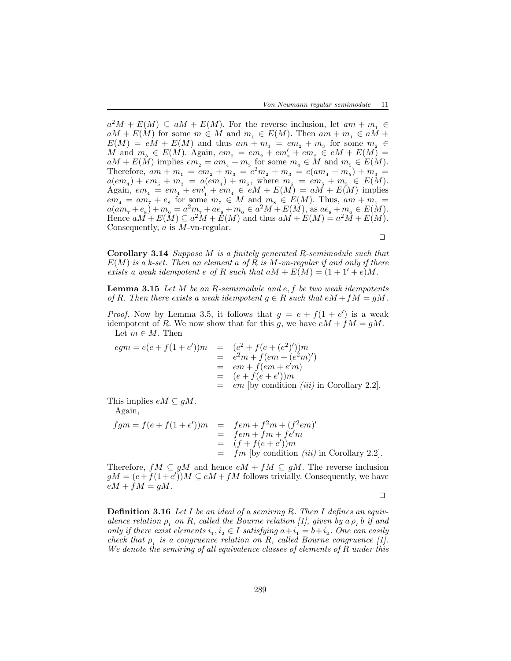$a^2M + E(M) \subseteq aM + E(M)$ . For the reverse inclusion, let  $am + m_1 \in$  $aM + E(M)$  for some  $m \in M$  and  $m<sub>1</sub> \in E(M)$ . Then  $am + m<sub>1</sub> \in aM +$  $E(M) = eM + E(M)$  and thus  $am + m_1 = em_2 + m_3$  for some  $m_2 \in$ M and  $m_3 \in E(M)$ . Again,  $em_2 = em_2 + em'_2 + em_2 \in eM + E(M)$  $aM + E(M)$  implies  $em_2 = am_4 + m_5$  for some  $m_4 \in M$  and  $m_5 \in E(M)$ . Therefore,  $am + m_1 = em_2 + m_3 = e^2m_2 + m_3 = e(am_4 + m_5) + m_3 =$  $a(em_4) + em_5 + m_3 = a(em_4) + m_6$ , where  $m_6 = em_5 + m_3 \in E(M)$ . Again,  $em_4 = em_4 + em'_4 + em_4 \in eM + E(M) = aM + E(M)$  implies  $em_4 = am_7 + e_8$  for some  $m_7 \in M$  and  $m_8 \in E(M)$ . Thus,  $am + m_1 =$  $a(am_\tau+e_s)+m_{\rm s} = a^2m_\tau+ae_s+m_{\rm s} \in a^2M+E(M)$ , as  $ae_s+m_{\rm s} \in E(M)$ . Hence  $aM + E(M) \subseteq a^2M + E(M)$  and thus  $aM + E(M) = a^2M + E(M)$ . Consequently, a is M-vn-regular.

⊓⊔

Corollary 3.14 *Suppose* M *is a finitely generated* R*-semimodule such that* E(M) *is a k-set. Then an element* a *of* R *is* M*-vn-regular if and only if there exists a weak idempotent*  $e$  *of*  $R$  *such that*  $aM + E(M) = (1 + 1' + e)M$ .

Lemma 3.15 *Let* M *be an* R*-semimodule and* e, f *be two weak idempotents of* R. Then there exists a weak idempotent  $g \in R$  such that  $eM + fM = gM$ .

*Proof.* Now by Lemma 3.5, it follows that  $g = e + f(1 + e')$  is a weak idempotent of R. We now show that for this g, we have  $eM + fM = gM$ . Let  $m\in M.$  Then

$$
egm = e(e + f(1 + e'))m = (e2 + f(e + (e2))')m
$$
  
=  $e2m + f(em + (e2m)')$   
=  $em + f(em + e'm')$   
=  $(e + f(e + e'))m$   
=  $em$  [by condition *(iii)* in Corollary 2.2].

This implies  $eM \subseteq gM$ .

Again,

$$
fgm = f(e + f(1 + e'))m = fem + f^2m + (f^2em)'
$$
  
=  $fem + fm + fe'm$   
=  $(f + f(e + e'))m$   
=  $fm$  [by condition *(iii)* in Corollary 2.2].

Therefore,  $fM \subseteq gM$  and hence  $eM + fM \subseteq gM$ . The reverse inclusion  $gM = (e + f(1 + e^{t}))M \subseteq eM + fM$  follows trivially. Consequently, we have  $eM + fM = gM$ .

⊓⊔

Definition 3.16 *Let* I *be an ideal of a semiring* R*. Then* I *defines an equiv-* $\alpha$  *alence relation*  $\rho_I$  *on*  $R$ *, called the Bourne relation* [1], given by  $\alpha \rho_I$  b if and *only if there exist elements*  $i_1, i_2 \in I$  *satisfying*  $a+i_1 = b+i_2$ . One can easily *check that*  $\rho_I$  *is a congruence relation on* R, called Bourne congruence [1]. *We denote the semiring of all equivalence classes of elements of* R *under this*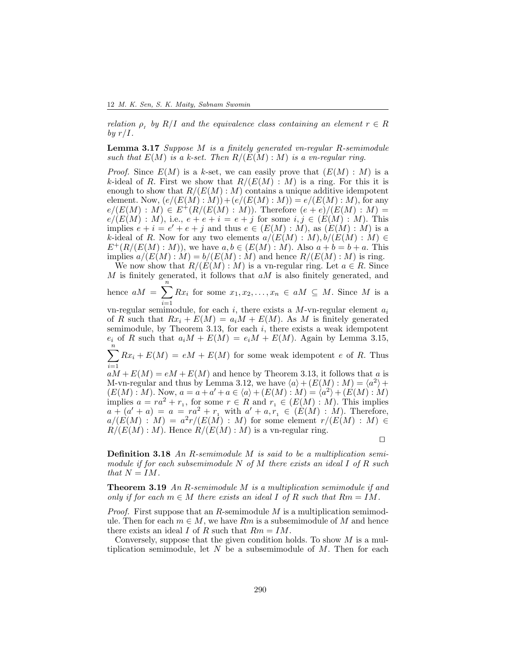*relation*  $\rho$ <sub>*r*</sub> by  $R/I$  and the equivalence class containing an element  $r \in R$ *by*  $r/I$ *.* 

Lemma 3.17 *Suppose* M *is a finitely generated vn-regular* R*-semimodule such that*  $E(M)$  *is a k-set. Then*  $R/(E(M):M)$  *is a vn-regular ring.* 

*Proof.* Since  $E(M)$  is a k-set, we can easily prove that  $(E(M): M)$  is a k-ideal of R. First we show that  $R/(E(M) : M)$  is a ring. For this it is enough to show that  $R/(E(M):M)$  contains a unique additive idempotent element. Now,  $(e/(E(M):M))+(e/(E(M):M))=e/(E(M):M)$ , for any  $e/(E(M): M) \in E^+(R/(E(M): M))$ . Therefore  $(e+e)/(E(M): M)$  $e/(E(M): M)$ , i.e.,  $e + e + i = e + j$  for some  $i, j \in (E(M): M)$ . This implies  $e + i = e' + e + j$  and thus  $e \in (E(M) : M)$ , as  $(E(M) : M)$  is a k-ideal of R. Now for any two elements  $a/(E(M): M)$ ,  $b/(E(M): M) \in$  $E^+(R/(E(M):M))$ , we have  $a, b \in (E(M):M)$ . Also  $a + b = b + a$ . This implies  $a/(E(M):M) = b/(E(M):M)$  and hence  $R/(E(M):M)$  is ring.

We now show that  $R/(E(M):M)$  is a vn-regular ring. Let  $a \in R$ . Since M is finitely generated, it follows that  $aM$  is also finitely generated, and

hence  $aM = \sum_{n=1}^{\infty}$  $i=1$  $Rx_i$  for some  $x_1, x_2, \ldots, x_n \in aM \subseteq M$ . Since M is a

vn-regular semimodule, for each i, there exists a  $M$ -vn-regular element  $a_i$ of R such that  $Rx_i + E(M) = a_iM + E(M)$ . As M is finitely generated semimodule, by Theorem 3.13, for each  $i$ , there exists a weak idempotent  $e_i$  of R such that  $a_iM + E(M) = e_iM + E(M)$ . Again by Lemma 3.15,  $\sum_{n=1}^{\infty}$ 

 $i=1$  $Rx_i + E(M) = eM + E(M)$  for some weak idempotent e of R. Thus

 $aM + E(M) = eM + E(M)$  and hence by Theorem 3.13, it follows that a is M-vn-regular and thus by Lemma 3.12, we have  $\langle a \rangle + (E(M) : M) = \langle a^2 \rangle +$  $(E(M): M)$ . Now,  $a = a + a' + a \in \langle a \rangle + (E(M): M) = \langle a^2 \rangle + (E(M): M)$ implies  $a = ra^2 + r_1$ , for some  $r \in R$  and  $r_1 \in (E(M) : M)$ . This implies  $a + (a' + a) = a = ra^2 + r_1$  with  $a' + a, r_1 \in (E(M) : M)$ . Therefore,  $a/(E(M) : M) = a^2r/(E(M) : M)$  for some element  $r/(E(M) : M) \in$  $R/(E(M):M)$ . Hence  $R/(E(M):M)$  is a vn-regular ring.

⊓⊔

Definition 3.18 *An* R*-semimodule* M *is said to be a multiplication semimodule if for each subsemimodule* N *of* M *there exists an ideal* I *of* R *such that*  $N = IM$ .

Theorem 3.19 *An* R*-semimodule* M *is a multiplication semimodule if and only if for each*  $m \in M$  *there exists an ideal* I *of* R *such that*  $Rm = IM$ .

*Proof.* First suppose that an R-semimodule M is a multiplication semimodule. Then for each  $m \in M$ , we have Rm is a subsemimodule of M and hence there exists an ideal I of R such that  $Rm = IM$ .

Conversely, suppose that the given condition holds. To show  $M$  is a multiplication semimodule, let  $N$  be a subsemimodule of  $M$ . Then for each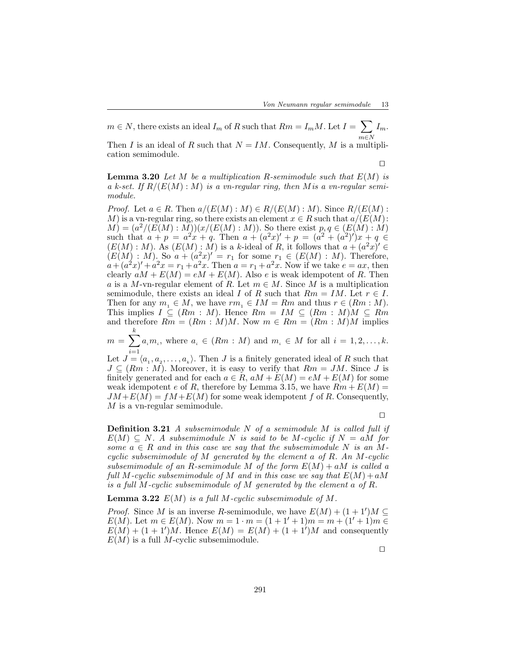$m \in N$ , there exists an ideal  $I_m$  of R such that  $Rm = I_m M$ . Let  $I = \sum_{i=1}^{n} I_m$ m∈N  $I_m$ .

Then I is an ideal of R such that  $N = IM$ . Consequently, M is a multiplication semimodule.

⊓⊔

Lemma 3.20 *Let* M *be a multiplication* R*-semimodule such that* E(M) *is a k-set. If* R/(E(M) : M) *is a vn-regular ring, then* M*is a vn-regular semimodule.*

*Proof.* Let  $a \in R$ . Then  $a/(E(M): M) \in R/(E(M): M)$ . Since  $R/(E(M):$ M) is a vn-regular ring, so there exists an element  $x \in R$  such that  $a/(E(M))$ :  $(M) = (a^2/(E(M): \overline{M}))(x/(E(M): M))$ . So there exist  $p, q \in (E(M): \overline{M})$ such that  $a + p = a^2x + q$ . Then  $a + (a^2x)' + p = (a^2 + (a^2)')x + q \in$  $(E(M): M)$ . As  $(E(M): M)$  is a k-ideal of R, it follows that  $a + (a^2x) \in$  $(E(M): M)$ . So  $a + (a^2x)' = r_1$  for some  $r_1 \in (E(M): M)$ . Therefore,  $a + (a^2x)' + a^2x = r_1 + a^2x$ . Then  $a = r_1 + a^2x$ . Now if we take  $e = ax$ , then clearly  $aM + E(M) = eM + E(M)$ . Also e is weak idempotent of R. Then a is a M-vn-regular element of R. Let  $m \in M$ . Since M is a multiplication semimodule, there exists an ideal I of R such that  $Rm = IM$ . Let  $r \in I$ . Then for any  $m_1 \in M$ , we have  $rm_1 \in IM = Rm$  and thus  $r \in (Rm : M)$ . This implies  $I \subseteq (Rm : M)$ . Hence  $Rm = IM \subseteq (Rm : M)M \subseteq Rm$ and therefore  $Rm = (Rm : M)M$ . Now  $m \in Rm = (Rm : M)M$  implies

 $m = \sum_{k=1}^{k}$  $i=1$  $a_i m_i$ , where  $a_i \in (Rm : M)$  and  $m_i \in M$  for all  $i = 1, 2, \ldots, k$ .

Let  $J = \langle a_1, a_2, \ldots, a_k \rangle$ . Then J is a finitely generated ideal of R such that  $J \subseteq (Rm : M)$ . Moreover, it is easy to verify that  $Rm = JM$ . Since J is finitely generated and for each  $a \in R$ ,  $aM + E(M) = eM + E(M)$  for some weak idempotent e of R, therefore by Lemma 3.15, we have  $Rm + E(M) =$  $JM + E(M) = fM + E(M)$  for some weak idempotent f of R. Consequently, M is a vn-regular semimodule.

⊓⊔

Definition 3.21 *A subsemimodule* N *of a semimodule* M *is called full if*  $E(M) \subseteq N$ . A subsemimodule N is said to be M-cyclic if  $N = aM$  for *some*  $a \in R$  *and in this case we say that the subsemimodule* N *is an* M*cyclic subsemimodule of* M *generated by the element* a *of* R*. An* M*-cyclic subsemimodule of an R-semimodule M of the form*  $E(M) + aM$  *is called a full* M-cyclic subsemimodule of M and in this case we say that  $E(M) + aM$ *is a full* M*-cyclic subsemimodule of* M *generated by the element* a *of* R*.*

Lemma 3.22 E(M) *is a full* M*-cyclic subsemimodule of* M*.*

*Proof.* Since M is an inverse R-semimodule, we have  $E(M) + (1+1)M \subseteq$  $E(M)$ . Let  $m \in E(M)$ . Now  $m = 1 \cdot m = (1 + 1' + 1)m = m + (1' + 1)m \in$  $E(M) + (1+1)M$ . Hence  $E(M) = E(M) + (1+1)M$  and consequently  $E(M)$  is a full M-cyclic subsemimodule.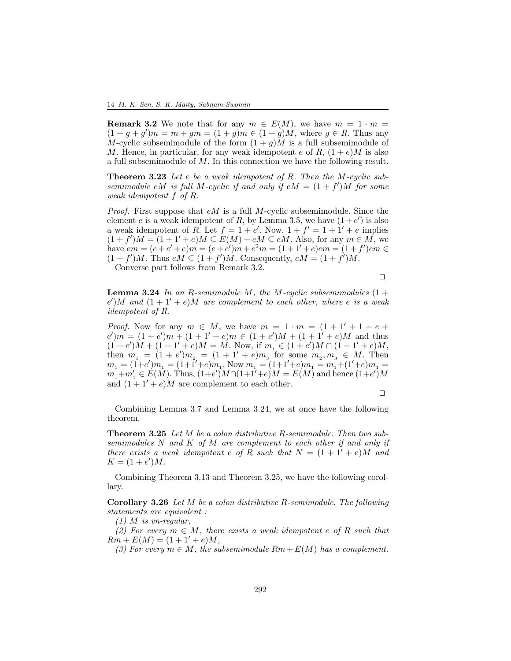**Remark 3.2** We note that for any  $m \in E(M)$ , we have  $m = 1 \cdot m =$  $(1 + g + g')m = m + gm = (1 + g)m \in (1 + g)M$ , where  $g \in R$ . Thus any M-cyclic subsemimodule of the form  $(1 + g)M$  is a full subsemimodule of M. Hence, in particular, for any weak idempotent e of R,  $(1+e)M$  is also a full subsemimodule of M. In this connection we have the following result.

Theorem 3.23 *Let* e *be a weak idempotent of* R*. Then the* M*-cyclic subsemimodule* eM *is full* M-cyclic if and only if  $eM = (1 + f')M$  for some *weak idempotent* f *of* R*.*

*Proof.* First suppose that eM is a full M-cyclic subsemimodule. Since the element e is a weak idempotent of R, by Lemma 3.5, we have  $(1+e')$  is also a weak idempotent of R. Let  $f = 1 + e'$ . Now,  $1 + f' = 1 + 1' + e$  implies  $(1+f')M = (1+1'+e)M \subseteq E(M)+eM \subseteq eM$ . Also, for any  $m \in M$ , we have  $em = (e + e' + e)m = (e + e')m + e^2m = (1 + 1' + e)em = (1 + f')em \in$  $(1+f')M$ . Thus  $eM \subseteq (1+f')M$ . Consequently,  $eM = (1+f')M$ .

Converse part follows from Remark 3.2.

⊓⊔

Lemma 3.24 *In an* R*-semimodule* M*, the* M*-cyclic subsemimodules* (1 +  $(e')M$  and  $(1+1'+e)M$  are complement to each other, where e is a weak *idempotent of* R*.*

*Proof.* Now for any  $m \in M$ , we have  $m = 1 \cdot m = (1 + 1' + 1 + e +$  $e'(m) = (1 + e'(m) + (1 + 1' + e)m) \in (1 + e'(m) + (1 + 1' + e)m)$  and thus  $(1 + e')\dot{M} + (1 + 1' + e)M = M$ . Now, if  $m_1 \in (1 + e')M \cap (1 + 1' + e)M$ , then  $m_1 = (1 + e')m_2 = (1 + 1' + e)m_3$  for some  $m_2, m_3 \in M$ . Then  $m_1 = (1+e')m_1 = (1+1'+e)m_1$ . Now  $m_1 = (1+1'+e)m_1 = m_1 + (1'+e)m_1 =$  $m_1 + m_1' \in E(M)$ . Thus,  $(1+e')M \cap (1+1'+e)M = E(M)$  and hence  $(1+e')M$ and  $(1 + 1' + e)M$  are complement to each other.

⊓⊔

Combining Lemma 3.7 and Lemma 3.24, we at once have the following theorem.

Theorem 3.25 *Let* M *be a colon distributive* R*-semimodule. Then two subsemimodules* N *and* K *of* M *are complement to each other if and only if there exists a weak idempotent* e of R *such that*  $N = (1 + 1' + e)M$  *and*  $K = (1 + e')M$ .

Combining Theorem 3.13 and Theorem 3.25, we have the following corollary.

Corollary 3.26 *Let* M *be a colon distributive* R*-semimodule. The following statements are equivalent :*

*(1)* M *is vn-regular,*

*(2) For every* m ∈ M*, there exists a weak idempotent* e *of* R *such that*  $Rm + E(M) = (1 + 1' + e)M$ ,

*(3) For every*  $m \in M$ , the subsemimodule  $Rm + E(M)$  has a complement.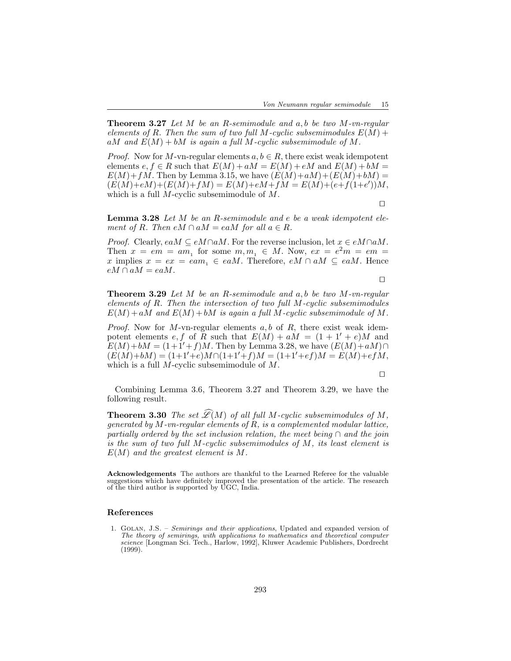Theorem 3.27 *Let* M *be an* R*-semimodule and* a, b *be two* M*-vn-regular elements of*  $R$ *. Then the sum of two full*  $M$ *-cyclic subsemimodules*  $E(M)$  + aM and  $E(M) + bM$  is again a full M-cyclic subsemimodule of M.

*Proof.* Now for M-vn-regular elements  $a, b \in R$ , there exist weak idempotent elements  $e, f \in R$  such that  $E(M) + aM = E(M) + eM$  and  $E(M) + bM =$  $E(M)+fM$ . Then by Lemma 3.15, we have  $(E(M)+aM)+(E(M)+bM)$  $(E(M)+eM)+(E(M)+fM)=E(M)+eM+fM=E(M)+(e+f(1+e'))M,$ which is a full  $M$ -cyclic subsemimodule of  $M$ .

⊓⊔

Lemma 3.28 *Let* M *be an* R*-semimodule and* e *be a weak idempotent element of*  $R$ *. Then*  $eM \cap aM = eaM$  *for all*  $a \in R$ *.* 

*Proof.* Clearly,  $eaM \subseteq eM \cap aM$ . For the reverse inclusion, let  $x \in eM \cap aM$ . Then  $x = em = am_1$  for some  $m, m_1 \in M$ . Now,  $ex = e^2m = em =$ x implies  $x = e^x = e^{\alpha}$ ,  $\in$  ea*M*. Therefore,  $e^{\alpha} \cap aM \subseteq e^{\alpha}M$ . Hence  $eM \cap aM = eaM$ .

⊓⊔

Theorem 3.29 *Let* M *be an* R*-semimodule and* a, b *be two* M*-vn-regular elements of* R*. Then the intersection of two full* M*-cyclic subsemimodules*  $E(M) + aM$  and  $E(M) + bM$  is again a full M-cyclic subsemimodule of M.

*Proof.* Now for M-vn-regular elements  $a, b$  of  $R$ , there exist weak idempotent elements e, f of R such that  $E(M) + aM = (1 + 1' + e)M$  and  $E(M)+bM = (1+1'+f)M$ . Then by Lemma 3.28, we have  $(E(M)+aM)\cap$  $(E(M)+bM) = (1+1'+e)M \cap (1+1'+f)M = (1+1'+ef)M = E(M)+efdM,$ which is a full  $M$ -cyclic subsemimodule of  $M$ .

⊓⊔

Combining Lemma 3.6, Theorem 3.27 and Theorem 3.29, we have the following result.

**Theorem 3.30** *The set*  $\mathscr{L}(M)$  *of all full M*-cyclic subsemimodules of M, *generated by* M*-vn-regular elements of* R*, is a complemented modular lattice, partially ordered by the set inclusion relation, the meet being* ∩ *and the join is the sum of two full* M*-cyclic subsemimodules of* M*, its least element is* E(M) *and the greatest element is* M*.*

Acknowledgements The authors are thankful to the Learned Referee for the valuable suggestions which have definitely improved the presentation of the article. The research of the third author is supported by UGC, India.

#### References

1. Golan, J.S. – Semirings and their applications, Updated and expanded version of The theory of semirings, with applications to mathematics and theoretical computer science [Longman Sci. Tech., Harlow, 1992], Kluwer Academic Publishers, Dordrecht (1999).